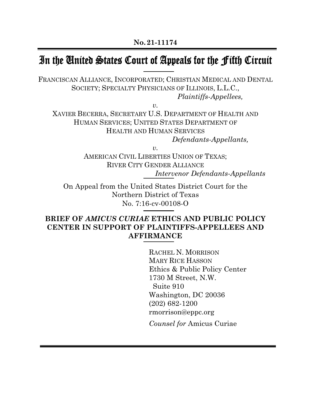# In the United States Court of Appeals for the Fifth Circuit

FRANCISCAN ALLIANCE, INCORPORATED; CHRISTIAN MEDICAL AND DENTAL SOCIETY; SPECIALTY PHYSICIANS OF ILLINOIS, L.L.C., *Plaintiffs-Appellees,*

*v.*

XAVIER BECERRA, SECRETARY U.S. DEPARTMENT OF HEALTH AND HUMAN SERVICES; UNITED STATES DEPARTMENT OF HEALTH AND HUMAN SERVICES

*Defendants-Appellants,*

*v.*

AMERICAN CIVIL LIBERTIES UNION OF TEXAS; RIVER CITY GENDER ALLIANCE *Intervenor Defendants-Appellants*

On Appeal from the United States District Court for the Northern District of Texas No. 7:16-cv-00108-O

## **BRIEF OF** *AMICUS CURIAE* **ETHICS AND PUBLIC POLICY CENTER IN SUPPORT OF PLAINTIFFS-APPELLEES AND AFFIRMANCE**

RACHEL N. MORRISON MARY RICE HASSON Ethics & Public Policy Center 1730 M Street, N.W. Suite 910 Washington, DC 20036 (202) 682-1200 rmorrison@eppc.org *Counsel for* Amicus Curiae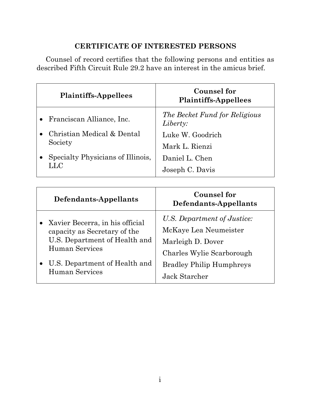## **CERTIFICATE OF INTERESTED PERSONS**

Counsel of record certifies that the following persons and entities as described Fifth Circuit Rule 29.2 have an interest in the amicus brief.

| <b>Plaintiffs-Appellees</b>       | Counsel for<br><b>Plaintiffs-Appellees</b> |
|-----------------------------------|--------------------------------------------|
| • Franciscan Alliance, Inc.       | The Becket Fund for Religious<br>Liberty:  |
| Christian Medical & Dental        | Luke W. Goodrich                           |
| Society                           | Mark L. Rienzi                             |
| Specialty Physicians of Illinois, | Daniel L. Chen                             |
| LLC                               | Joseph C. Davis                            |

| Defendants-Appellants                                                                                                                                 | <b>Counsel for</b><br>Defendants-Appellants                                                                                               |
|-------------------------------------------------------------------------------------------------------------------------------------------------------|-------------------------------------------------------------------------------------------------------------------------------------------|
| • Xavier Becerra, in his official<br>capacity as Secretary of the<br>U.S. Department of Health and<br>Human Services<br>U.S. Department of Health and | U.S. Department of Justice:<br>McKaye Lea Neumeister<br>Marleigh D. Dover<br>Charles Wylie Scarborough<br><b>Bradley Philip Humphreys</b> |
| <b>Human Services</b>                                                                                                                                 | Jack Starcher                                                                                                                             |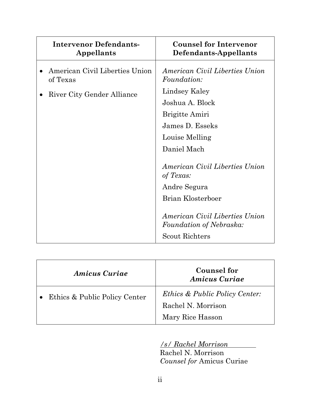| <b>Intervenor Defendants-</b><br>Appellants                              | <b>Counsel for Intervenor</b><br>Defendants-Appellants                                                                                                                                                                                              |
|--------------------------------------------------------------------------|-----------------------------------------------------------------------------------------------------------------------------------------------------------------------------------------------------------------------------------------------------|
| American Civil Liberties Union<br>of Texas<br>River City Gender Alliance | American Civil Liberties Union<br><i>Foundation:</i><br>Lindsey Kaley<br>Joshua A. Block                                                                                                                                                            |
|                                                                          | <b>Brigitte Amiri</b><br>James D. Esseks<br>Louise Melling<br>Daniel Mach<br>American Civil Liberties Union<br>of Texas:<br>Andre Segura<br>Brian Klosterboer<br>American Civil Liberties Union<br>Foundation of Nebraska:<br><b>Scout Richters</b> |

| <b>Amicus Curiae</b>          | <b>Counsel for</b><br><b>Amicus Curiae</b>                                          |
|-------------------------------|-------------------------------------------------------------------------------------|
| Ethics & Public Policy Center | <i>Ethics &amp; Public Policy Center:</i><br>Rachel N. Morrison<br>Mary Rice Hasson |

*/s/ Rachel Morrison* 

Rachel N. Morrison *Counsel for* Amicus Curiae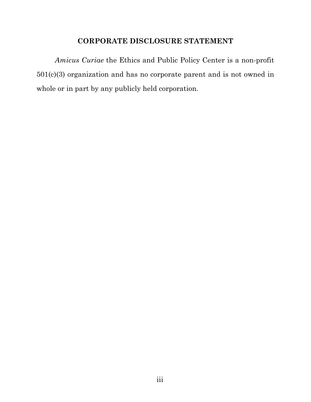## **CORPORATE DISCLOSURE STATEMENT**

*Amicus Curiae* the Ethics and Public Policy Center is a non-profit 501(c)(3) organization and has no corporate parent and is not owned in whole or in part by any publicly held corporation.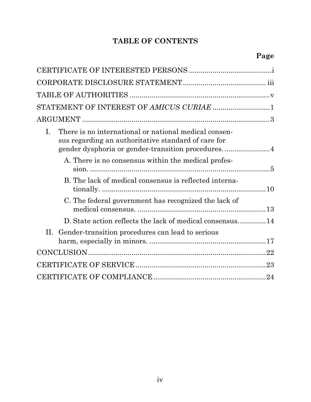## **TABLE OF CONTENTS**

| STATEMENT OF INTEREST OF AMICUS CURIAE 1                                                                           |
|--------------------------------------------------------------------------------------------------------------------|
|                                                                                                                    |
| There is no international or national medical consen-<br>I.<br>sus regarding an authoritative standard of care for |
| A. There is no consensus within the medical profes-                                                                |
| B. The lack of medical consensus is reflected interna-                                                             |
| C. The federal government has recognized the lack of                                                               |
| D. State action reflects the lack of medical consensus14                                                           |
| II. Gender-transition procedures can lead to serious                                                               |
|                                                                                                                    |
|                                                                                                                    |
|                                                                                                                    |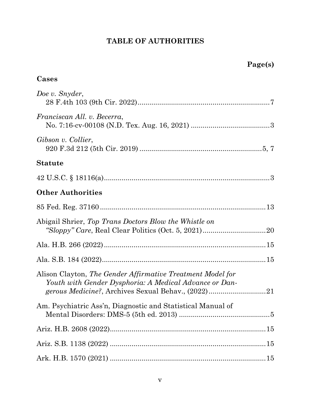## **TABLE OF AUTHORITIES**

| Cases |
|-------|
|-------|

| Doe v. Snyder,                                                                                                       |    |
|----------------------------------------------------------------------------------------------------------------------|----|
| Franciscan All. v. Becerra,                                                                                          |    |
| Gibson v. Collier,                                                                                                   |    |
| <b>Statute</b>                                                                                                       |    |
|                                                                                                                      |    |
| <b>Other Authorities</b>                                                                                             |    |
|                                                                                                                      |    |
| Abigail Shrier, Top Trans Doctors Blow the Whistle on                                                                |    |
|                                                                                                                      |    |
|                                                                                                                      |    |
| Alison Clayton, The Gender Affirmative Treatment Model for<br>Youth with Gender Dysphoria: A Medical Advance or Dan- |    |
| Am. Psychiatric Ass'n, Diagnostic and Statistical Manual of                                                          | .5 |
|                                                                                                                      |    |
|                                                                                                                      |    |
|                                                                                                                      |    |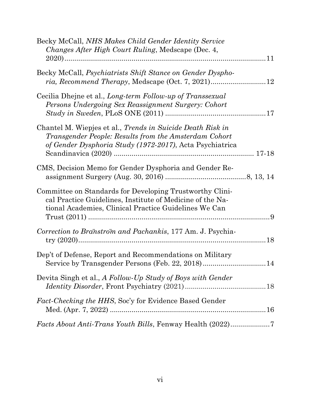| Becky McCall, NHS Makes Child Gender Identity Service<br><i>Changes After High Court Ruling, Medscape (Dec. 4,</i>                                                                     |  |
|----------------------------------------------------------------------------------------------------------------------------------------------------------------------------------------|--|
|                                                                                                                                                                                        |  |
| Becky McCall, Psychiatrists Shift Stance on Gender Dyspho-                                                                                                                             |  |
| Cecilia Dhejne et al., Long-term Follow-up of Transsexual<br>Persons Undergoing Sex Reassignment Surgery: Cohort                                                                       |  |
| Chantel M. Wiepjes et al., <i>Trends in Suicide Death Risk in</i><br>Transgender People: Results from the Amsterdam Cohort<br>of Gender Dysphoria Study (1972-2017), Acta Psychiatrica |  |
| CMS, Decision Memo for Gender Dysphoria and Gender Re-                                                                                                                                 |  |
| Committee on Standards for Developing Trustworthy Clini-<br>cal Practice Guidelines, Institute of Medicine of the Na-<br>tional Academies, Clinical Practice Guidelines We Can         |  |
| Correction to Branstrom and Pachankis, 177 Am. J. Psychia-                                                                                                                             |  |
| Dep't of Defense, Report and Recommendations on Military<br>Service by Transgender Persons (Feb. 22, 2018)14                                                                           |  |
| Devita Singh et al., A Follow-Up Study of Boys with Gender                                                                                                                             |  |
| <i>Fact-Checking the HHS, Soc'y for Evidence Based Gender</i>                                                                                                                          |  |
| Facts About Anti-Trans Youth Bills, Fenway Health (2022)7                                                                                                                              |  |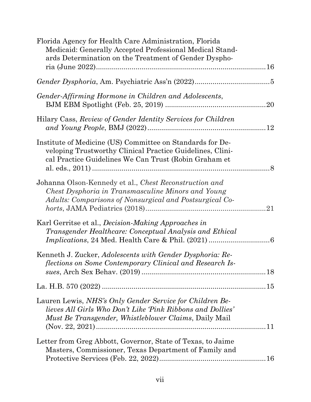| Florida Agency for Health Care Administration, Florida<br>Medicaid: Generally Accepted Professional Medical Stand-<br>ards Determination on the Treatment of Gender Dyspho-            |
|----------------------------------------------------------------------------------------------------------------------------------------------------------------------------------------|
|                                                                                                                                                                                        |
| Gender-Affirming Hormone in Children and Adolescents,                                                                                                                                  |
| Hilary Cass, Review of Gender Identity Services for Children                                                                                                                           |
| Institute of Medicine (US) Committee on Standards for De-<br>veloping Trustworthy Clinical Practice Guidelines, Clini-<br>cal Practice Guidelines We Can Trust (Robin Graham et        |
| Johanna Olson-Kennedy et al., Chest Reconstruction and<br>Chest Dysphoria in Transmasculine Minors and Young<br>Adults: Comparisons of Nonsurgical and Postsurgical Co-                |
| Karl Gerritse et al., <i>Decision-Making Approaches in</i><br>Transgender Healthcare: Conceptual Analysis and Ethical                                                                  |
| Kenneth J. Zucker, Adolescents with Gender Dysphoria: Re-<br>flections on Some Contemporary Clinical and Research Is-                                                                  |
|                                                                                                                                                                                        |
| Lauren Lewis, NHS's Only Gender Service for Children Be-<br>lieves All Girls Who Don't Like 'Pink Ribbons and Dollies'<br><i>Must Be Transgender, Whistleblower Claims, Daily Mail</i> |
| Letter from Greg Abbott, Governor, State of Texas, to Jaime<br>Masters, Commissioner, Texas Department of Family and                                                                   |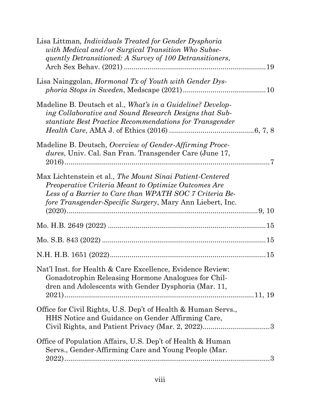| Lisa Littman, <i>Individuals Treated for Gender Dysphoria</i><br>with Medical and/or Surgical Transition Who Subse-<br>quently Detransitioned: A Survey of 100 Detransitioners,                                                           |  |
|-------------------------------------------------------------------------------------------------------------------------------------------------------------------------------------------------------------------------------------------|--|
| Lisa Nainggolan, <i>Hormonal Tx of Youth with Gender Dys-</i>                                                                                                                                                                             |  |
| Madeline B. Deutsch et al., What's in a Guideline? Develop-<br>ing Collaborative and Sound Research Designs that Sub-<br>stantiate Best Practice Recommendations for Transgender                                                          |  |
| Madeline B. Deutsch, Overview of Gender-Affirming Proce-<br>dures, Univ. Cal. San Fran. Transgender Care (June 17,                                                                                                                        |  |
| Max Lichtenstein et al., The Mount Sinai Patient-Centered<br>Preoperative Criteria Meant to Optimize Outcomes Are<br>Less of a Barrier to Care than WPATH SOC 7 Criteria Be-<br>fore Transgender-Specific Surgery, Mary Ann Liebert, Inc. |  |
|                                                                                                                                                                                                                                           |  |
|                                                                                                                                                                                                                                           |  |
|                                                                                                                                                                                                                                           |  |
| Nat'l Inst. for Health & Care Excellence, Evidence Review:<br>Gonadotrophin Releasing Hormone Analogues for Chil-<br>dren and Adolescents with Gender Dysphoria (Mar. 11,                                                                 |  |
| Office for Civil Rights, U.S. Dep't of Health & Human Servs.,<br>HHS Notice and Guidance on Gender Affirming Care,                                                                                                                        |  |
| Office of Population Affairs, U.S. Dep't of Health & Human<br>Servs., Gender-Affirming Care and Young People (Mar.                                                                                                                        |  |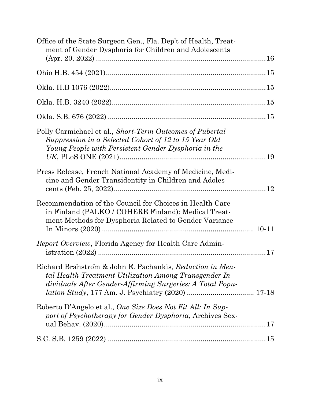| Office of the State Surgeon Gen., Fla. Dep't of Health, Treat-<br>ment of Gender Dysphoria for Children and Adolescents                                                         |  |
|---------------------------------------------------------------------------------------------------------------------------------------------------------------------------------|--|
|                                                                                                                                                                                 |  |
|                                                                                                                                                                                 |  |
|                                                                                                                                                                                 |  |
|                                                                                                                                                                                 |  |
| Polly Carmichael et al., Short-Term Outcomes of Pubertal<br>Suppression in a Selected Cohort of 12 to 15 Year Old<br>Young People with Persistent Gender Dysphoria in the       |  |
| Press Release, French National Academy of Medicine, Medi-<br>cine and Gender Transidentity in Children and Adoles-                                                              |  |
| Recommendation of the Council for Choices in Health Care<br>in Finland (PALKO / COHERE Finland): Medical Treat-<br>ment Methods for Dysphoria Related to Gender Variance        |  |
| <i>Report Overview</i> , Florida Agency for Health Care Admin-                                                                                                                  |  |
| Richard Branstrom & John E. Pachankis, Reduction in Men-<br>tal Health Treatment Utilization Among Transgender In-<br>dividuals After Gender-Affirming Surgeries: A Total Popu- |  |
| Roberto D'Angelo et al., One Size Does Not Fit All: In Sup-<br>port of Psychotherapy for Gender Dysphoria, Archives Sex-                                                        |  |
|                                                                                                                                                                                 |  |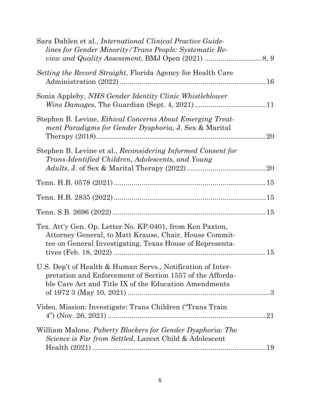| Sara Dahlen et al., <i>International Clinical Practice Guide-</i><br><i>lines for Gender Minority/Trans People: Systematic Re-</i>                                                |  |
|-----------------------------------------------------------------------------------------------------------------------------------------------------------------------------------|--|
| <i>Setting the Record Straight, Florida Agency for Health Care</i>                                                                                                                |  |
| Sonia Appleby, NHS Gender Identity Clinic Whistleblower                                                                                                                           |  |
| Stephen B. Levine, <i>Ethical Concerns About Emerging Treat-</i><br>ment Paradigms for Gender Dysphoria, J. Sex & Marital                                                         |  |
| Stephen B. Levine et al., Reconsidering Informed Consent for<br>Trans-Identified Children, Adolescents, and Young                                                                 |  |
|                                                                                                                                                                                   |  |
|                                                                                                                                                                                   |  |
|                                                                                                                                                                                   |  |
| Tex. Att'y Gen. Op. Letter No. KP-0401, from Ken Paxton,<br>Attorney General, to Matt Krause, Chair, House Commit-<br>tee on General Investigating, Texas House of Representa-    |  |
| U.S. Dep't of Health & Human Servs., Notification of Inter-<br>pretation and Enforcement of Section 1557 of the Afforda-<br>ble Care Act and Title IX of the Education Amendments |  |
| Video, Mission: Investigate: Trans Children ("Trans Train                                                                                                                         |  |
| William Malone, <i>Puberty Blockers for Gender Dysphoria: The</i><br><i>Science is Far from Settled</i> , Lancet Child & Adolescent                                               |  |
|                                                                                                                                                                                   |  |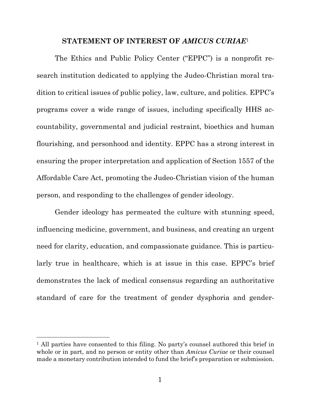#### **STATEMENT OF INTEREST OF** *AMICUS CURIAE*<sup>1</sup>

The Ethics and Public Policy Center ("EPPC") is a nonprofit research institution dedicated to applying the Judeo-Christian moral tradition to critical issues of public policy, law, culture, and politics. EPPC's programs cover a wide range of issues, including specifically HHS accountability, governmental and judicial restraint, bioethics and human flourishing, and personhood and identity. EPPC has a strong interest in ensuring the proper interpretation and application of Section 1557 of the Affordable Care Act, promoting the Judeo-Christian vision of the human person, and responding to the challenges of gender ideology.

Gender ideology has permeated the culture with stunning speed, influencing medicine, government, and business, and creating an urgent need for clarity, education, and compassionate guidance. This is particularly true in healthcare, which is at issue in this case. EPPC's brief demonstrates the lack of medical consensus regarding an authoritative standard of care for the treatment of gender dysphoria and gender-

<sup>&</sup>lt;sup>1</sup> All parties have consented to this filing. No party's counsel authored this brief in whole or in part, and no person or entity other than *Amicus Curiae* or their counsel made a monetary contribution intended to fund the brief's preparation or submission.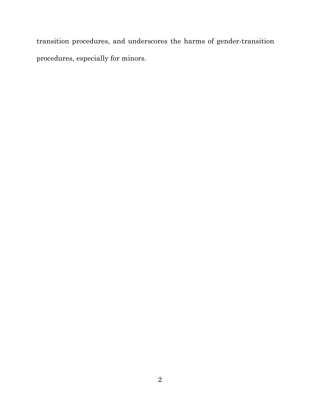transition procedures, and underscores the harms of gender-transition procedures, especially for minors.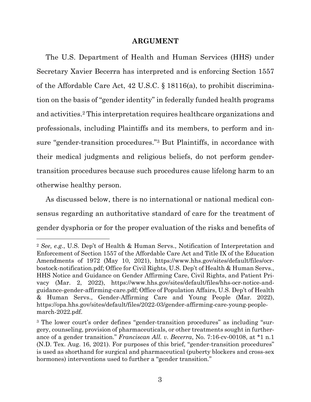#### **ARGUMENT**

The U.S. Department of Health and Human Services (HHS) under Secretary Xavier Becerra has interpreted and is enforcing Section 1557 of the Affordable Care Act, 42 U.S.C. § 18116(a), to prohibit discrimination on the basis of "gender identity" in federally funded health programs and activities.2 This interpretation requires healthcare organizations and professionals, including Plaintiffs and its members, to perform and insure "gender-transition procedures."3 But Plaintiffs, in accordance with their medical judgments and religious beliefs, do not perform gendertransition procedures because such procedures cause lifelong harm to an otherwise healthy person.

As discussed below, there is no international or national medical consensus regarding an authoritative standard of care for the treatment of gender dysphoria or for the proper evaluation of the risks and benefits of

<sup>2</sup> *See, e.g.*, U.S. Dep't of Health & Human Servs., Notification of Interpretation and Enforcement of Section 1557 of the Affordable Care Act and Title IX of the Education Amendments of 1972 (May 10, 2021), https://www.hhs.gov/sites/default/files/ocrbostock-notification.pdf; Office for Civil Rights, U.S. Dep't of Health & Human Servs., HHS Notice and Guidance on Gender Affirming Care, Civil Rights, and Patient Privacy (Mar. 2, 2022), https://www.hhs.gov/sites/default/files/hhs-ocr-notice-andguidance-gender-affirming-care.pdf; Office of Population Affairs, U.S. Dep't of Health & Human Servs., Gender-Affirming Care and Young People (Mar. 2022), https://opa.hhs.gov/sites/default/files/2022-03/gender-affirming-care-young-peoplemarch-2022.pdf.

<sup>&</sup>lt;sup>3</sup> The lower court's order defines "gender-transition procedures" as including "surgery, counseling, provision of pharmaceuticals, or other treatments sought in furtherance of a gender transition." *Franciscan All. v. Becerra*, No. 7:16-cv-00108, at \*1 n.1 (N.D. Tex. Aug. 16, 2021). For purposes of this brief, "gender-transition procedures" is used as shorthand for surgical and pharmaceutical (puberty blockers and cross-sex hormones) interventions used to further a "gender transition."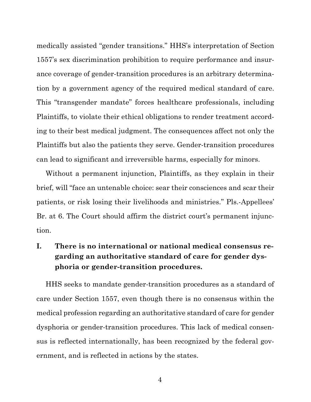medically assisted "gender transitions." HHS's interpretation of Section 1557's sex discrimination prohibition to require performance and insurance coverage of gender-transition procedures is an arbitrary determination by a government agency of the required medical standard of care. This "transgender mandate" forces healthcare professionals, including Plaintiffs, to violate their ethical obligations to render treatment according to their best medical judgment. The consequences affect not only the Plaintiffs but also the patients they serve. Gender-transition procedures can lead to significant and irreversible harms, especially for minors.

Without a permanent injunction, Plaintiffs, as they explain in their brief, will "face an untenable choice: sear their consciences and scar their patients, or risk losing their livelihoods and ministries." Pls.-Appellees' Br. at 6. The Court should affirm the district court's permanent injunction.

## **I. There is no international or national medical consensus regarding an authoritative standard of care for gender dysphoria or gender-transition procedures.**

HHS seeks to mandate gender-transition procedures as a standard of care under Section 1557, even though there is no consensus within the medical profession regarding an authoritative standard of care for gender dysphoria or gender-transition procedures. This lack of medical consensus is reflected internationally, has been recognized by the federal government, and is reflected in actions by the states.

4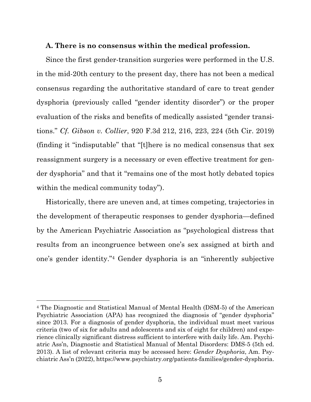#### **A. There is no consensus within the medical profession.**

Since the first gender-transition surgeries were performed in the U.S. in the mid-20th century to the present day, there has not been a medical consensus regarding the authoritative standard of care to treat gender dysphoria (previously called "gender identity disorder") or the proper evaluation of the risks and benefits of medically assisted "gender transitions." *Cf. Gibson v. Collier*, 920 F.3d 212, 216, 223, 224 (5th Cir. 2019) (finding it "indisputable" that "[t]here is no medical consensus that sex reassignment surgery is a necessary or even effective treatment for gender dysphoria" and that it "remains one of the most hotly debated topics within the medical community today").

Historically, there are uneven and, at times competing, trajectories in the development of therapeutic responses to gender dysphoria—defined by the American Psychiatric Association as "psychological distress that results from an incongruence between one's sex assigned at birth and one's gender identity."4 Gender dysphoria is an "inherently subjective

<sup>4</sup> The Diagnostic and Statistical Manual of Mental Health (DSM-5) of the American Psychiatric Association (APA) has recognized the diagnosis of "gender dysphoria" since 2013. For a diagnosis of gender dysphoria, the individual must meet various criteria (two of six for adults and adolescents and six of eight for children) and experience clinically significant distress sufficient to interfere with daily life. Am. Psychiatric Ass'n, Diagnostic and Statistical Manual of Mental Disorders: DMS-5 (5th ed. 2013). A list of relevant criteria may be accessed here: *Gender Dysphoria*, Am. Psychiatric Ass'n (2022), https://www.psychiatry.org/patients-families/gender-dysphoria.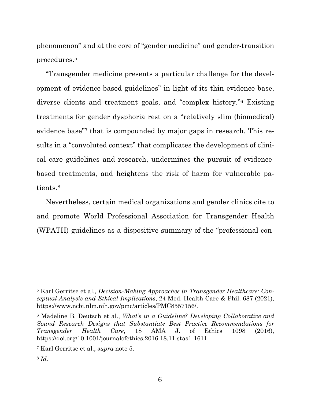phenomenon" and at the core of "gender medicine" and gender-transition procedures.5

"Transgender medicine presents a particular challenge for the development of evidence-based guidelines" in light of its thin evidence base, diverse clients and treatment goals, and "complex history."6 Existing treatments for gender dysphoria rest on a "relatively slim (biomedical) evidence base"7 that is compounded by major gaps in research. This results in a "convoluted context" that complicates the development of clinical care guidelines and research, undermines the pursuit of evidencebased treatments, and heightens the risk of harm for vulnerable patients.8

Nevertheless, certain medical organizations and gender clinics cite to and promote World Professional Association for Transgender Health (WPATH) guidelines as a dispositive summary of the "professional con-

<sup>5</sup> Karl Gerritse et al., *Decision-Making Approaches in Transgender Healthcare: Conceptual Analysis and Ethical Implications*, 24 Med. Health Care & Phil. 687 (2021), https://www.ncbi.nlm.nih.gov/pmc/articles/PMC8557156/.

<sup>6</sup> Madeline B. Deutsch et al., *What's in a Guideline? Developing Collaborative and Sound Research Designs that Substantiate Best Practice Recommendations for Transgender Health Care*, 18 AMA J. of Ethics 1098 (2016), https://doi.org/10.1001/journalofethics.2016.18.11.stas1-1611.

<sup>7</sup> Karl Gerritse et al., *supra* note 5.

<sup>8</sup> *Id.*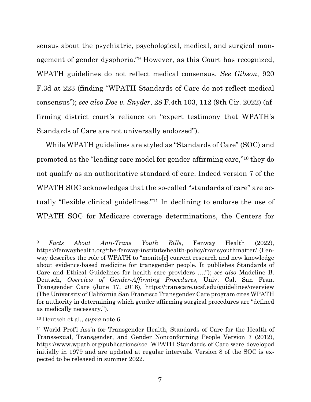sensus about the psychiatric, psychological, medical, and surgical management of gender dysphoria."9 However, as this Court has recognized, WPATH guidelines do not reflect medical consensus. *See Gibson*, 920 F.3d at 223 (finding "WPATH Standards of Care do not reflect medical consensus"); *see also Doe v. Snyder*, 28 F.4th 103, 112 (9th Cir. 2022) (affirming district court's reliance on "expert testimony that WPATH's Standards of Care are not universally endorsed").

While WPATH guidelines are styled as "Standards of Care" (SOC) and promoted as the "leading care model for gender-affirming care,"10 they do not qualify as an authoritative standard of care. Indeed version 7 of the WPATH SOC acknowledges that the so-called "standards of care" are actually "flexible clinical guidelines."11 In declining to endorse the use of WPATH SOC for Medicare coverage determinations, the Centers for

<sup>9</sup> *Facts About Anti-Trans Youth Bills*, Fenway Health (2022), https://fenwayhealth.org/the-fenway-institute/health-policy/transyouthmatter/ (Fenway describes the role of WPATH to "monito[r] current research and new knowledge about evidence-based medicine for transgender people. It publishes Standards of Care and Ethical Guidelines for health care providers …."); *see also* Madeline B. Deutsch, *Overview of Gender-Affirming Procedures*, Univ. Cal. San Fran. Transgender Care (June 17, 2016), https://transcare.ucsf.edu/guidelines/overview (The University of California San Francisco Transgender Care program cites WPATH for authority in determining which gender affirming surgical procedures are "defined as medically necessary.").

<sup>10</sup> Deutsch et al., *supra* note 6.

<sup>11</sup> World Prof'l Ass'n for Transgender Health, Standards of Care for the Health of Transsexual, Transgender, and Gender Nonconforming People Version 7 (2012), https://www.wpath.org/publications/soc. WPATH Standards of Care were developed initially in 1979 and are updated at regular intervals. Version 8 of the SOC is expected to be released in summer 2022.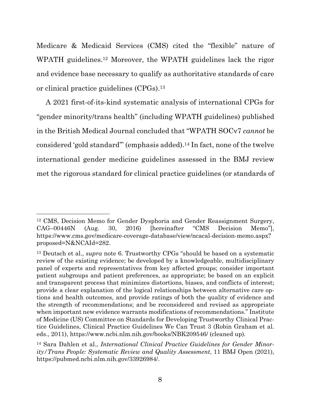Medicare & Medicaid Services (CMS) cited the "flexible" nature of WPATH guidelines.12 Moreover, the WPATH guidelines lack the rigor and evidence base necessary to qualify as authoritative standards of care or clinical practice guidelines (CPGs).13

A 2021 first-of-its-kind systematic analysis of international CPGs for "gender minority/trans health" (including WPATH guidelines) published in the British Medical Journal concluded that "WPATH SOCv7 *cannot* be considered 'gold standard'" (emphasis added).14 In fact, none of the twelve international gender medicine guidelines assessed in the BMJ review met the rigorous standard for clinical practice guidelines (or standards of

<sup>12</sup> CMS, Decision Memo for Gender Dysphoria and Gender Reassignment Surgery, CAG–00446N (Aug. 30, 2016) [hereinafter "CMS Decision Memo"], https://www.cms.gov/medicare-coverage-database/view/ncacal-decision-memo.aspx? proposed=N&NCAId=282.

<sup>13</sup> Deutsch et al., *supra* note 6. Trustworthy CPGs "should be based on a systematic review of the existing evidence; be developed by a knowledgeable, multidisciplinary panel of experts and representatives from key affected groups; consider important patient subgroups and patient preferences, as appropriate; be based on an explicit and transparent process that minimizes distortions, biases, and conflicts of interest; provide a clear explanation of the logical relationships between alternative care options and health outcomes, and provide ratings of both the quality of evidence and the strength of recommendations; and be reconsidered and revised as appropriate when important new evidence warrants modifications of recommendations." Institute of Medicine (US) Committee on Standards for Developing Trustworthy Clinical Practice Guidelines, Clinical Practice Guidelines We Can Trust 3 (Robin Graham et al. eds., 2011), https://www.ncbi.nlm.nih.gov/books/NBK209546/ (cleaned up).

<sup>14</sup> Sara Dahlen et al., *International Clinical Practice Guidelines for Gender Minority/Trans People: Systematic Review and Quality Assessment*, 11 BMJ Open (2021), https://pubmed.ncbi.nlm.nih.gov/33926984/.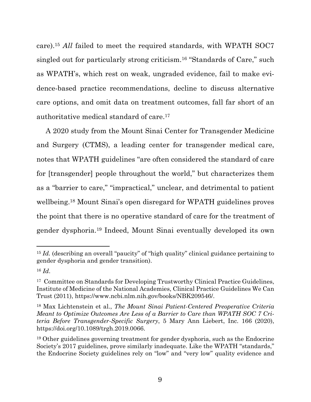care).15 *All* failed to meet the required standards, with WPATH SOC7 singled out for particularly strong criticism.16 "Standards of Care," such as WPATH's, which rest on weak, ungraded evidence, fail to make evidence-based practice recommendations, decline to discuss alternative care options, and omit data on treatment outcomes, fall far short of an authoritative medical standard of care.17

A 2020 study from the Mount Sinai Center for Transgender Medicine and Surgery (CTMS), a leading center for transgender medical care, notes that WPATH guidelines "are often considered the standard of care for [transgender] people throughout the world," but characterizes them as a "barrier to care," "impractical," unclear, and detrimental to patient wellbeing.18 Mount Sinai's open disregard for WPATH guidelines proves the point that there is no operative standard of care for the treatment of gender dysphoria.19 Indeed, Mount Sinai eventually developed its own

<sup>&</sup>lt;sup>15</sup> *Id.* (describing an overall "paucity" of "high quality" clinical guidance pertaining to gender dysphoria and gender transition).

<sup>16</sup> *Id*.

<sup>17</sup> Committee on Standards for Developing Trustworthy Clinical Practice Guidelines, Institute of Medicine of the National Academies, Clinical Practice Guidelines We Can Trust (2011), https://www.ncbi.nlm.nih.gov/books/NBK209546/.

<sup>18</sup> Max Lichtenstein et al., *The Mount Sinai Patient-Centered Preoperative Criteria Meant to Optimize Outcomes Are Less of a Barrier to Care than WPATH SOC 7 Criteria Before Transgender-Specific Surgery*, 5 Mary Ann Liebert, Inc. 166 (2020), https://doi.org/10.1089/trgh.2019.0066.

<sup>19</sup> Other guidelines governing treatment for gender dysphoria, such as the Endocrine Society's 2017 guidelines, prove similarly inadequate. Like the WPATH "standards," the Endocrine Society guidelines rely on "low" and "very low" quality evidence and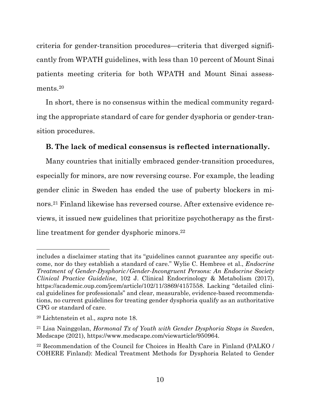criteria for gender-transition procedures—criteria that diverged significantly from WPATH guidelines, with less than 10 percent of Mount Sinai patients meeting criteria for both WPATH and Mount Sinai assessments.20

In short, there is no consensus within the medical community regarding the appropriate standard of care for gender dysphoria or gender-transition procedures.

## **B. The lack of medical consensus is reflected internationally.**

Many countries that initially embraced gender-transition procedures, especially for minors, are now reversing course. For example, the leading gender clinic in Sweden has ended the use of puberty blockers in minors.21 Finland likewise has reversed course. After extensive evidence reviews, it issued new guidelines that prioritize psychotherapy as the firstline treatment for gender dysphoric minors.<sup>22</sup>

includes a disclaimer stating that its "guidelines cannot guarantee any specific outcome, nor do they establish a standard of care." Wylie C. Hembree et al., *Endocrine Treatment of Gender-Dysphoric/Gender-Incongruent Persons: An Endocrine Society Clinical Practice Guideline*, 102 J. Clinical Endocrinology & Metabolism (2017), https://academic.oup.com/jcem/article/102/11/3869/4157558. Lacking "detailed clinical guidelines for professionals" and clear, measurable, evidence-based recommendations, no current guidelines for treating gender dysphoria qualify as an authoritative CPG or standard of care.

<sup>20</sup> Lichtenstein et al., *supra* note 18.

<sup>21</sup> Lisa Nainggolan, *Hormonal Tx of Youth with Gender Dysphoria Stops in Sweden*, Medscape (2021), https://www.medscape.com/viewarticle/950964.

<sup>22</sup> Recommendation of the Council for Choices in Health Care in Finland (PALKO / COHERE Finland): Medical Treatment Methods for Dysphoria Related to Gender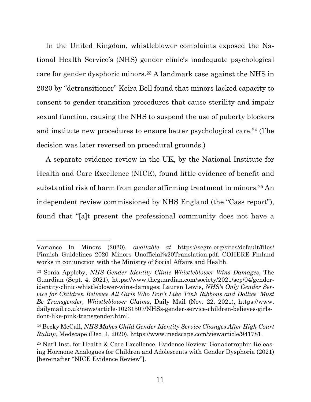In the United Kingdom, whistleblower complaints exposed the National Health Service's (NHS) gender clinic's inadequate psychological care for gender dysphoric minors.23 A landmark case against the NHS in 2020 by "detransitioner" Keira Bell found that minors lacked capacity to consent to gender-transition procedures that cause sterility and impair sexual function, causing the NHS to suspend the use of puberty blockers and institute new procedures to ensure better psychological care.24 (The decision was later reversed on procedural grounds.)

A separate evidence review in the UK, by the National Institute for Health and Care Excellence (NICE), found little evidence of benefit and substantial risk of harm from gender affirming treatment in minors.25 An independent review commissioned by NHS England (the "Cass report"), found that "[a]t present the professional community does not have a

Variance In Minors (2020), *available at* https://segm.org/sites/default/files/ Finnish\_Guidelines\_2020\_Minors\_Unofficial%20Translation.pdf. COHERE Finland works in conjunction with the Ministry of Social Affairs and Health.

<sup>23</sup> Sonia Appleby, *NHS Gender Identity Clinic Whistleblower Wins Damages*, The Guardian (Sept. 4, 2021), https://www.theguardian.com/society/2021/sep/04/genderidentity-clinic-whistleblower-wins-damages; Lauren Lewis, *NHS's Only Gender Service for Children Believes All Girls Who Don't Like 'Pink Ribbons and Dollies' Must Be Transgender, Whistleblower Claims*, Daily Mail (Nov. 22, 2021), https://www. dailymail.co.uk/news/article-10231507/NHSs-gender-service-children-believes-girlsdont-like-pink-transgender.html.

<sup>24</sup> Becky McCall, *NHS Makes Child Gender Identity Service Changes After High Court Ruling*, Medscape (Dec. 4, 2020), https://www.medscape.com/viewarticle/941781.

<sup>25</sup> Nat'l Inst. for Health & Care Excellence, Evidence Review: Gonadotrophin Releasing Hormone Analogues for Children and Adolescents with Gender Dysphoria (2021) [hereinafter "NICE Evidence Review"].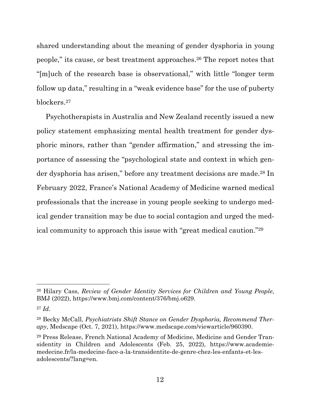shared understanding about the meaning of gender dysphoria in young people," its cause, or best treatment approaches.26 The report notes that "[m]uch of the research base is observational," with little "longer term follow up data," resulting in a "weak evidence base" for the use of puberty blockers.27

Psychotherapists in Australia and New Zealand recently issued a new policy statement emphasizing mental health treatment for gender dysphoric minors, rather than "gender affirmation," and stressing the importance of assessing the "psychological state and context in which gender dysphoria has arisen," before any treatment decisions are made.28 In February 2022, France's National Academy of Medicine warned medical professionals that the increase in young people seeking to undergo medical gender transition may be due to social contagion and urged the medical community to approach this issue with "great medical caution."29

<sup>26</sup> Hilary Cass, *Review of Gender Identity Services for Children and Young People*, BMJ (2022), https://www.bmj.com/content/376/bmj.o629.

<sup>27</sup> *Id*.

<sup>28</sup> Becky McCall, *Psychiatrists Shift Stance on Gender Dysphoria, Recommend Therapy*, Medscape (Oct. 7, 2021), https://www.medscape.com/viewarticle/960390.

<sup>29</sup> Press Release, French National Academy of Medicine, Medicine and Gender Transidentity in Children and Adolescents (Feb. 25, 2022), https://www.academiemedecine.fr/la-medecine-face-a-la-transidentite-de-genre-chez-les-enfants-et-lesadolescents/?lang=en.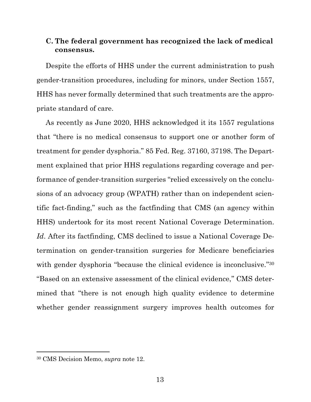## **C. The federal government has recognized the lack of medical consensus.**

Despite the efforts of HHS under the current administration to push gender-transition procedures, including for minors, under Section 1557, HHS has never formally determined that such treatments are the appropriate standard of care.

As recently as June 2020, HHS acknowledged it its 1557 regulations that "there is no medical consensus to support one or another form of treatment for gender dysphoria." 85 Fed. Reg. 37160, 37198. The Department explained that prior HHS regulations regarding coverage and performance of gender-transition surgeries "relied excessively on the conclusions of an advocacy group (WPATH) rather than on independent scientific fact-finding," such as the factfinding that CMS (an agency within HHS) undertook for its most recent National Coverage Determination. *Id*. After its factfinding, CMS declined to issue a National Coverage Determination on gender-transition surgeries for Medicare beneficiaries with gender dysphoria "because the clinical evidence is inconclusive."<sup>30</sup> "Based on an extensive assessment of the clinical evidence," CMS determined that "there is not enough high quality evidence to determine whether gender reassignment surgery improves health outcomes for

<sup>30</sup> CMS Decision Memo, *supra* note 12.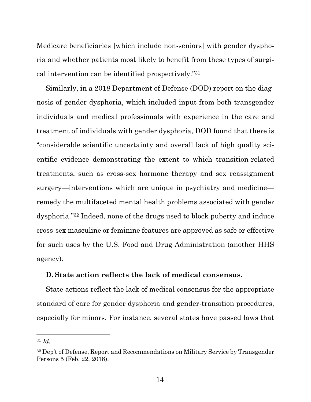Medicare beneficiaries [which include non-seniors] with gender dysphoria and whether patients most likely to benefit from these types of surgical intervention can be identified prospectively.''31

Similarly, in a 2018 Department of Defense (DOD) report on the diagnosis of gender dysphoria, which included input from both transgender individuals and medical professionals with experience in the care and treatment of individuals with gender dysphoria, DOD found that there is "considerable scientific uncertainty and overall lack of high quality scientific evidence demonstrating the extent to which transition-related treatments, such as cross-sex hormone therapy and sex reassignment surgery—interventions which are unique in psychiatry and medicine remedy the multifaceted mental health problems associated with gender dysphoria."32 Indeed, none of the drugs used to block puberty and induce cross-sex masculine or feminine features are approved as safe or effective for such uses by the U.S. Food and Drug Administration (another HHS agency).

### **D. State action reflects the lack of medical consensus.**

State actions reflect the lack of medical consensus for the appropriate standard of care for gender dysphoria and gender-transition procedures, especially for minors. For instance, several states have passed laws that

<sup>31</sup> *Id.*

<sup>32</sup> Dep't of Defense, Report and Recommendations on Military Service by Transgender Persons 5 (Feb. 22, 2018).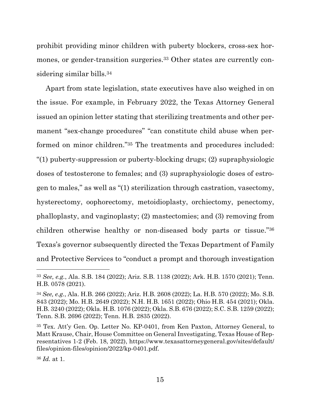prohibit providing minor children with puberty blockers, cross-sex hormones, or gender-transition surgeries.33 Other states are currently considering similar bills.34

Apart from state legislation, state executives have also weighed in on the issue. For example, in February 2022, the Texas Attorney General issued an opinion letter stating that sterilizing treatments and other permanent "sex-change procedures" "can constitute child abuse when performed on minor children."35 The treatments and procedures included: "(1) puberty-suppression or puberty-blocking drugs; (2) supraphysiologic doses of testosterone to females; and (3) supraphysiologic doses of estrogen to males," as well as "(1) sterilization through castration, vasectomy, hysterectomy, oophorectomy, metoidioplasty, orchiectomy, penectomy, phalloplasty, and vaginoplasty; (2) mastectomies; and (3) removing from children otherwise healthy or non-diseased body parts or tissue."36 Texas's governor subsequently directed the Texas Department of Family and Protective Services to "conduct a prompt and thorough investigation

<sup>36</sup> *Id.* at 1.

<sup>33</sup> *See, e.g.*, Ala. S.B. 184 (2022); Ariz. S.B. 1138 (2022); Ark. H.B. 1570 (2021); Tenn. H.B. 0578 (2021).

<sup>34</sup> *See, e.g.*, Ala. H.B. 266 (2022); Ariz. H.B. 2608 (2022); La. H.B. 570 (2022); Mo. S.B. 843 (2022); Mo. H.B. 2649 (2022); N.H. H.B. 1651 (2022); Ohio H.B. 454 (2021); Okla. H.B. 3240 (2022); Okla. H.B. 1076 (2022); Okla. S.B. 676 (2022); S.C. S.B. 1259 (2022); Tenn. S.B. 2696 (2022); Tenn. H.B. 2835 (2022).

<sup>35</sup> Tex. Att'y Gen. Op. Letter No. KP-0401, from Ken Paxton, Attorney General, to Matt Krause, Chair, House Committee on General Investigating, Texas House of Representatives 1-2 (Feb. 18, 2022), https://www.texasattorneygeneral.gov/sites/default/ files/opinion-files/opinion/2022/kp-0401.pdf.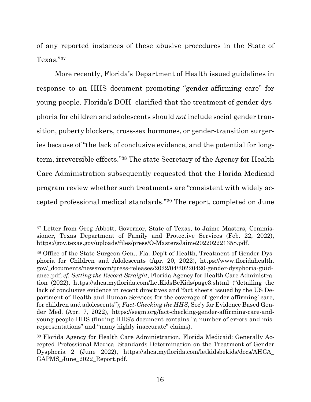of any reported instances of these abusive procedures in the State of Texas."37

More recently, Florida's Department of Health issued guidelines in response to an HHS document promoting "gender-affirming care" for young people. Florida's DOH clarified that the treatment of gender dysphoria for children and adolescents should *not* include social gender transition, puberty blockers, cross-sex hormones, or gender-transition surgeries because of "the lack of conclusive evidence, and the potential for longterm, irreversible effects."38 The state Secretary of the Agency for Health Care Administration subsequently requested that the Florida Medicaid program review whether such treatments are "consistent with widely accepted professional medical standards."39 The report, completed on June

<sup>37</sup> Letter from Greg Abbott, Governor, State of Texas, to Jaime Masters, Commissioner, Texas Department of Family and Protective Services (Feb. 22, 2022), https://gov.texas.gov/uploads/files/press/O-MastersJaime202202221358.pdf.

<sup>38</sup> Office of the State Surgeon Gen., Fla. Dep't of Health, Treatment of Gender Dysphoria for Children and Adolescents (Apr. 20, 2022), https://www.floridahealth. gov/\_documents/newsroom/press-releases/2022/04/20220420-gender-dysphoria-guidance.pdf; *cf. Setting the Record Straight*, Florida Agency for Health Care Administration (2022), https://ahca.myflorida.com/LetKidsBeKids/page3.shtml ("detailing the lack of conclusive evidence in recent directives and 'fact sheets' issued by the US Department of Health and Human Services for the coverage of 'gender affirming' care, for children and adolescents"); *Fact-Checking the HHS*, Soc'y for Evidence Based Gender Med. (Apr. 7, 2022), https://segm.org/fact-checking-gender-affirming-care-andyoung-people-HHS (finding HHS's document contains "a number of errors and misrepresentations" and "many highly inaccurate" claims).

<sup>39</sup> Florida Agency for Health Care Administration, Florida Medicaid: Generally Accepted Professional Medical Standards Determination on the Treatment of Gender Dysphoria 2 (June 2022), https://ahca.myflorida.com/letkidsbekids/docs/AHCA\_ GAPMS\_June\_2022\_Report.pdf.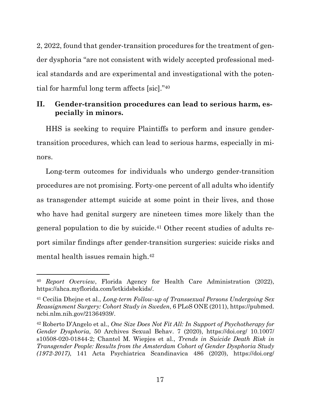2, 2022, found that gender-transition procedures for the treatment of gender dysphoria "are not consistent with widely accepted professional medical standards and are experimental and investigational with the potential for harmful long term affects [sic]."40

## **II. Gender-transition procedures can lead to serious harm, especially in minors.**

HHS is seeking to require Plaintiffs to perform and insure gendertransition procedures, which can lead to serious harms, especially in minors.

Long-term outcomes for individuals who undergo gender-transition procedures are not promising. Forty-one percent of all adults who identify as transgender attempt suicide at some point in their lives, and those who have had genital surgery are nineteen times more likely than the general population to die by suicide.41 Other recent studies of adults report similar findings after gender-transition surgeries: suicide risks and mental health issues remain high.42

<sup>40</sup> *Report Overview*, Florida Agency for Health Care Administration (2022), https://ahca.myflorida.com/letkidsbekids/.

<sup>41</sup> Cecilia Dhejne et al., *Long-term Follow-up of Transsexual Persons Undergoing Sex Reassignment Surgery: Cohort Study in Sweden*, 6 PLoS ONE (2011), https://pubmed. ncbi.nlm.nih.gov/21364939/.

<sup>42</sup> Roberto D'Angelo et al., *One Size Does Not Fit All: In Support of Psychotherapy for Gender Dysphoria*, 50 Archives Sexual Behav. 7 (2020), https://doi.org/ 10.1007/ s10508-020-01844-2; Chantel M. Wiepjes et al., *Trends in Suicide Death Risk in Transgender People: Results from the Amsterdam Cohort of Gender Dysphoria Study (1972-2017)*, 141 Acta Psychiatrica Scandinavica 486 (2020), https://doi.org/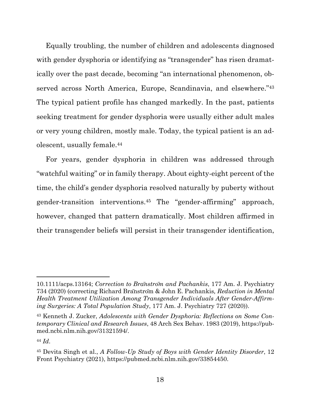Equally troubling, the number of children and adolescents diagnosed with gender dysphoria or identifying as "transgender" has risen dramatically over the past decade, becoming "an international phenomenon, observed across North America, Europe, Scandinavia, and elsewhere."43 The typical patient profile has changed markedly. In the past, patients seeking treatment for gender dysphoria were usually either adult males or very young children, mostly male. Today, the typical patient is an adolescent, usually female.44

For years, gender dysphoria in children was addressed through "watchful waiting" or in family therapy. About eighty-eight percent of the time, the child's gender dysphoria resolved naturally by puberty without gender-transition interventions.45 The "gender-affirming" approach, however, changed that pattern dramatically. Most children affirmed in their transgender beliefs will persist in their transgender identification,

<sup>10.1111/</sup>acps.13164; *Correction to Bränström and Pachankis*, 177 Am. J. Psychiatry 734 (2020) (correcting Richard Bränström & John E. Pachankis*, Reduction in Mental Health Treatment Utilization Among Transgender Individuals After Gender-Affirming Surgeries: A Total Population Study*, 177 Am. J. Psychiatry 727 (2020)).

<sup>43</sup> Kenneth J. Zucker, *Adolescents with Gender Dysphoria: Reflections on Some Contemporary Clinical and Research Issues*, 48 Arch Sex Behav. 1983 (2019), https://pubmed.ncbi.nlm.nih.gov/31321594/.

<sup>44</sup> *Id*.

<sup>45</sup> Devita Singh et al., *A Follow-Up Study of Boys with Gender Identity Disorder*, 12 Front Psychiatry (2021), https://pubmed.ncbi.nlm.nih.gov/33854450.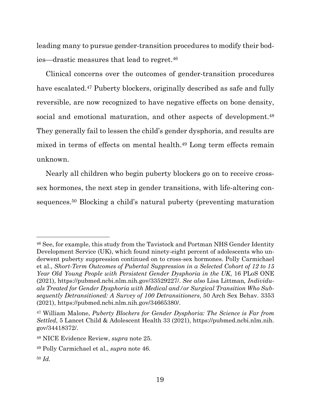leading many to pursue gender-transition procedures to modify their bodies—drastic measures that lead to regret.46

Clinical concerns over the outcomes of gender-transition procedures have escalated.<sup>47</sup> Puberty blockers, originally described as safe and fully reversible, are now recognized to have negative effects on bone density, social and emotional maturation, and other aspects of development.<sup>48</sup> They generally fail to lessen the child's gender dysphoria, and results are mixed in terms of effects on mental health.49 Long term effects remain unknown.

Nearly all children who begin puberty blockers go on to receive crosssex hormones, the next step in gender transitions, with life-altering consequences.50 Blocking a child's natural puberty (preventing maturation

<sup>46</sup> See, for example, this study from the Tavistock and Portman NHS Gender Identity Development Service (UK), which found ninety-eight percent of adolescents who underwent puberty suppression continued on to cross-sex hormones. Polly Carmichael et al., *Short-Term Outcomes of Pubertal Suppression in a Selected Cohort of 12 to 15 Year Old Young People with Persistent Gender Dysphoria in the UK*, 16 PLoS ONE (2021), https://pubmed.ncbi.nlm.nih.gov/33529227/. *See also* Lisa Littman*, Individuals Treated for Gender Dysphoria with Medical and/or Surgical Transition Who Subsequently Detransitioned: A Survey of 100 Detransitioners*, 50 Arch Sex Behav. 3353 (2021), https://pubmed.ncbi.nlm.nih.gov/34665380/.

<sup>47</sup> William Malone, *Puberty Blockers for Gender Dysphoria: The Science is Far from Settled*, 5 Lancet Child & Adolescent Health 33 (2021), https://pubmed.ncbi.nlm.nih. gov/34418372/.

<sup>48</sup> NICE Evidence Review, *supra* note 25.

<sup>49</sup> Polly Carmichael et al., *supra* note 46.

<sup>50</sup> *Id.*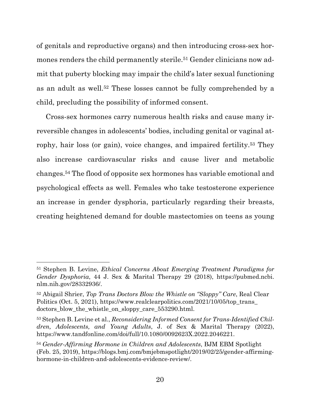of genitals and reproductive organs) and then introducing cross-sex hormones renders the child permanently sterile.<sup>51</sup> Gender clinicians now admit that puberty blocking may impair the child's later sexual functioning as an adult as well.52 These losses cannot be fully comprehended by a child, precluding the possibility of informed consent.

Cross-sex hormones carry numerous health risks and cause many irreversible changes in adolescents' bodies, including genital or vaginal atrophy, hair loss (or gain), voice changes, and impaired fertility.53 They also increase cardiovascular risks and cause liver and metabolic changes.54 The flood of opposite sex hormones has variable emotional and psychological effects as well. Females who take testosterone experience an increase in gender dysphoria, particularly regarding their breasts, creating heightened demand for double mastectomies on teens as young

<sup>51</sup> Stephen B. Levine, *Ethical Concerns About Emerging Treatment Paradigms for Gender Dysphoria*, 44 J. Sex & Marital Therapy 29 (2018), https://pubmed.ncbi. nlm.nih.gov/28332936/.

<sup>52</sup> Abigail Shrier, *Top Trans Doctors Blow the Whistle on "Sloppy" Care*, Real Clear Politics (Oct. 5, 2021), https://www.realclearpolitics.com/2021/10/05/top\_trans doctors blow the whistle on sloppy care  $553290.html$ .

<sup>53</sup> Stephen B. Levine et al., *Reconsidering Informed Consent for Trans-Identified Children, Adolescents, and Young Adults*, J. of Sex & Marital Therapy (2022), https://www.tandfonline.com/doi/full/10.1080/0092623X.2022.2046221.

<sup>54</sup> *Gender-Affirming Hormone in Children and Adolescents*, BJM EBM Spotlight (Feb. 25, 2019), https://blogs.bmj.com/bmjebmspotlight/2019/02/25/gender-affirminghormone-in-children-and-adolescents-evidence-review/.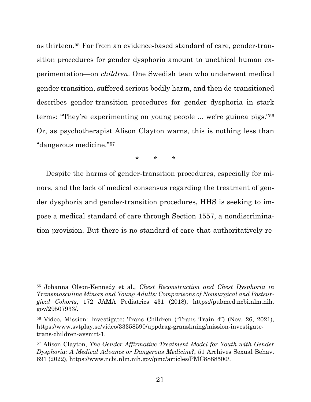as thirteen.55 Far from an evidence-based standard of care, gender-transition procedures for gender dysphoria amount to unethical human experimentation—on *children*. One Swedish teen who underwent medical gender transition, suffered serious bodily harm, and then de-transitioned describes gender-transition procedures for gender dysphoria in stark terms: "They're experimenting on young people ... we're guinea pigs."56 Or, as psychotherapist Alison Clayton warns, this is nothing less than "dangerous medicine."57

\* \* \*

Despite the harms of gender-transition procedures, especially for minors, and the lack of medical consensus regarding the treatment of gender dysphoria and gender-transition procedures, HHS is seeking to impose a medical standard of care through Section 1557, a nondiscrimination provision. But there is no standard of care that authoritatively re-

<sup>55</sup> Johanna Olson-Kennedy et al., *Chest Reconstruction and Chest Dysphoria in Transmasculine Minors and Young Adults: Comparisons of Nonsurgical and Postsurgical Cohorts*, 172 JAMA Pediatrics 431 (2018), https://pubmed.ncbi.nlm.nih. gov/29507933/.

<sup>56</sup> Video, Mission: Investigate: Trans Children ("Trans Train 4") (Nov. 26, 2021), https://www.svtplay.se/video/33358590/uppdrag-granskning/mission-investigatetrans-children-avsnitt-1.

<sup>57</sup> Alison Clayton, *The Gender Affirmative Treatment Model for Youth with Gender Dysphoria: A Medical Advance or Dangerous Medicine?*, 51 Archives Sexual Behav. 691 (2022), https://www.ncbi.nlm.nih.gov/pmc/articles/PMC8888500/.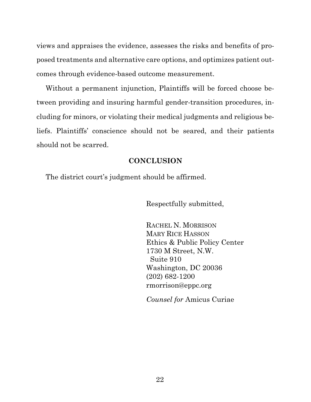views and appraises the evidence, assesses the risks and benefits of proposed treatments and alternative care options, and optimizes patient outcomes through evidence-based outcome measurement.

Without a permanent injunction, Plaintiffs will be forced choose between providing and insuring harmful gender-transition procedures, including for minors, or violating their medical judgments and religious beliefs. Plaintiffs' conscience should not be seared, and their patients should not be scarred.

### **CONCLUSION**

The district court's judgment should be affirmed.

Respectfully submitted,

 RACHEL N. MORRISON MARY RICE HASSON Ethics & Public Policy Center 1730 M Street, N.W. Suite 910 Washington, DC 20036 (202) 682-1200 rmorrison@eppc.org

*Counsel for* Amicus Curiae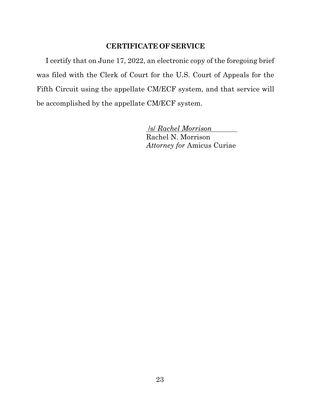## **CERTIFICATE OF SERVICE**

I certify that on June 17, 2022, an electronic copy of the foregoing brief was filed with the Clerk of Court for the U.S. Court of Appeals for the Fifth Circuit using the appellate CM/ECF system, and that service will be accomplished by the appellate CM/ECF system.

> /s/ *Rachel Morrison*  Rachel N. Morrison *Attorney for* Amicus Curiae